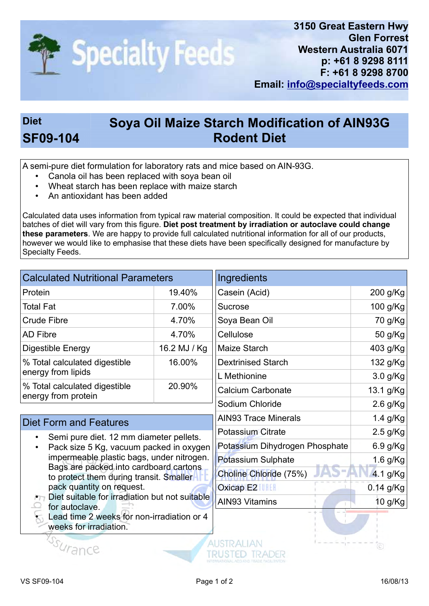

## Diet Soya Oil Maize Starch Modification of AIN93G SF09-104 Rodent Diet

A semi-pure diet formulation for laboratory rats and mice based on AIN-93G.

- Canola oil has been replaced with soya bean oil
- Wheat starch has been replace with maize starch
- An antioxidant has been added

Calculated data uses information from typical raw material composition. It could be expected that individual batches of diet will vary from this figure. Diet post treatment by irradiation or autoclave could change these parameters. We are happy to provide full calculated nutritional information for all of our products, however we would like to emphasise that these diets have been specifically designed for manufacture by Specialty Feeds.

| <b>Calculated Nutritional Parameters</b>                                                                                                                                                                                                                                                                                |              | Ingredients                    |             |
|-------------------------------------------------------------------------------------------------------------------------------------------------------------------------------------------------------------------------------------------------------------------------------------------------------------------------|--------------|--------------------------------|-------------|
| Protein                                                                                                                                                                                                                                                                                                                 | 19.40%       | Casein (Acid)                  | 200 g/Kg    |
| <b>Total Fat</b>                                                                                                                                                                                                                                                                                                        | 7.00%        | <b>Sucrose</b>                 | 100 g/Kg    |
| <b>Crude Fibre</b>                                                                                                                                                                                                                                                                                                      | 4.70%        | Soya Bean Oil                  | 70 g/Kg     |
| <b>AD Fibre</b>                                                                                                                                                                                                                                                                                                         | 4.70%        | Cellulose                      | 50 g/Kg     |
| <b>Digestible Energy</b>                                                                                                                                                                                                                                                                                                | 16.2 MJ / Kg | Maize Starch                   | 403 g/Kg    |
| % Total calculated digestible<br>energy from lipids                                                                                                                                                                                                                                                                     | 16.00%       | <b>Dextrinised Starch</b>      | 132 g/Kg    |
|                                                                                                                                                                                                                                                                                                                         |              | L Methionine                   | 3.0 g/Kg    |
| % Total calculated digestible                                                                                                                                                                                                                                                                                           | 20.90%       | <b>Calcium Carbonate</b>       | 13.1 g/Kg   |
| energy from protein                                                                                                                                                                                                                                                                                                     |              | Sodium Chloride                | $2.6$ g/Kg  |
| <b>Diet Form and Features</b>                                                                                                                                                                                                                                                                                           |              | <b>AIN93 Trace Minerals</b>    | 1.4 g/Kg    |
| Semi pure diet. 12 mm diameter pellets.<br>Pack size 5 Kg, vacuum packed in oxygen<br>impermeable plastic bags, under nitrogen.<br>Bags are packed into cardboard cartons<br>to protect them during transit. Smaller<br>pack quantity on request.<br>• Diet suitable for irradiation but not suitable<br>for autoclave. |              | <b>Potassium Citrate</b>       | $2.5$ g/Kg  |
|                                                                                                                                                                                                                                                                                                                         |              | Potassium Dihydrogen Phosphate | 6.9 g/Kg    |
|                                                                                                                                                                                                                                                                                                                         |              | Potassium Sulphate             | 1.6 g/Kg    |
|                                                                                                                                                                                                                                                                                                                         |              | Choline Chloride (75%)         | 4.1 g/Kg    |
|                                                                                                                                                                                                                                                                                                                         |              | <b>Oxicap E2 ILLE</b>          | $0.14$ g/Kg |
|                                                                                                                                                                                                                                                                                                                         |              | <b>AIN93 Vitamins</b>          | 10 g/Kg     |
| Lead time 2 weeks for non-irradiation or 4<br>weeks for irradiation.                                                                                                                                                                                                                                                    |              |                                |             |
|                                                                                                                                                                                                                                                                                                                         |              |                                |             |

SSUrance

TRUSTED TRADER

(c)